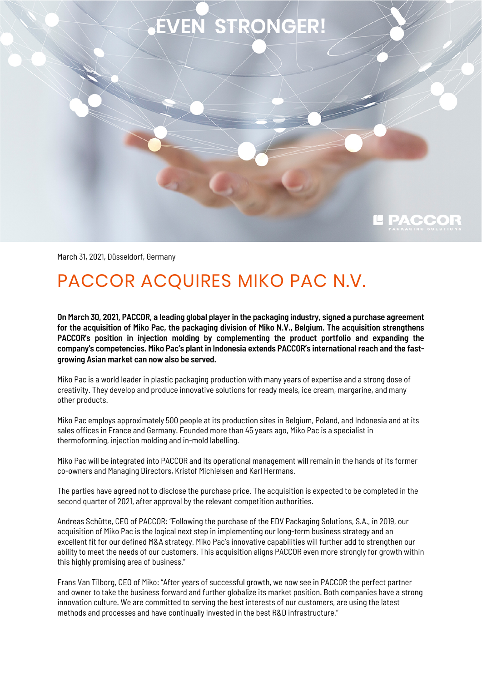## EVEN STRONGER!



March 31, 2021, Düsseldorf, Germany

## PACCOR ACQUIRES MIKO PAC N.V.

**On March 30, 2021, PACCOR, a leading global player in the packaging industry, signed a purchase agreement for the acquisition of Miko Pac, the packaging division of Miko N.V., Belgium. The acquisition strengthens PACCOR's position in injection molding by complementing the product portfolio and expanding the company's competencies. Miko Pac's plant in Indonesia extends PACCOR's international reach and the fastgrowing Asian market can now also be served.**

Miko Pac is a world leader in plastic packaging production with many years of expertise and a strong dose of creativity. They develop and produce innovative solutions for ready meals, ice cream, margarine, and many other products.

Miko Pac employs approximately 500 people at its production sites in Belgium, Poland, and Indonesia and at its sales offices in France and Germany. Founded more than 45 years ago, Miko Pac is a specialist in thermoforming, injection molding and in-mold labelling.

Miko Pac will be integrated into PACCOR and its operational management will remain in the hands of its former co-owners and Managing Directors, Kristof Michielsen and Karl Hermans.

The parties have agreed not to disclose the purchase price. The acquisition is expected to be completed in the second quarter of 2021, after approval by the relevant competition authorities.

Andreas Schütte, CEO of PACCOR: "Following the purchase of the EDV Packaging Solutions, S.A., in 2019, our acquisition of Miko Pac is the logical next step in implementing our long-term business strategy and an excellent fit for our defined M&A strategy. Miko Pac's innovative capabilities will further add to strengthen our ability to meet the needs of our customers. This acquisition aligns PACCOR even more strongly for growth within this highly promising area of business."

Frans Van Tilborg, CEO of Miko: "After years of successful growth, we now see in PACCOR the perfect partner and owner to take the business forward and further globalize its market position. Both companies have a strong innovation culture. We are committed to serving the best interests of our customers, are using the latest methods and processes and have continually invested in the best R&D infrastructure."